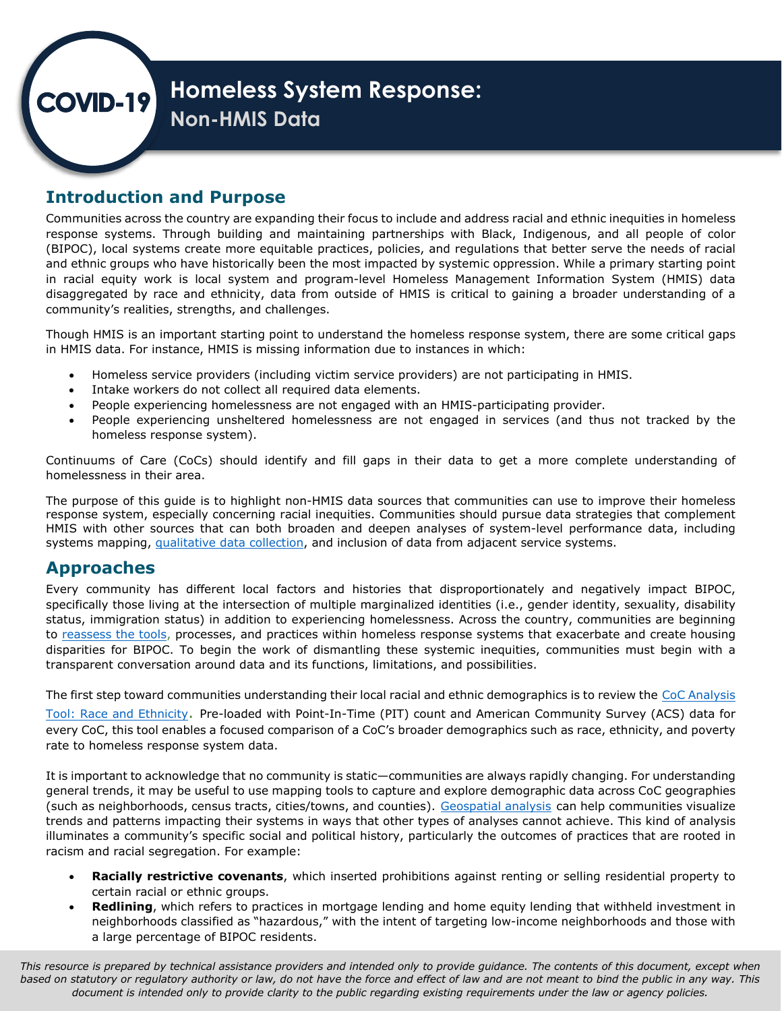

## **Introduction and Purpose**

 response systems. Through building and maintaining partnerships with Black, Indigenous, and all people of color disaggregated by race and ethnicity, data from outside of HMIS is critical to gaining a broader understanding of a Communities across the country are expanding their focus to include and address racial and ethnic inequities in homeless (BIPOC), local systems create more equitable practices, policies, and regulations that better serve the needs of racial and ethnic groups who have historically been the most impacted by systemic oppression. While a primary starting point in racial equity work is local system and program-level Homeless Management Information System (HMIS) data community's realities, strengths, and challenges.

Though HMIS is an important starting point to understand the homeless response system, there are some critical gaps in HMIS data. For instance, HMIS is missing information due to instances in which:

- Homeless service providers (including victim service providers) are not participating in HMIS.
- Intake workers do not collect all required data elements.
- People experiencing homelessness are not engaged with an HMIS-participating provider.
- • People experiencing unsheltered homelessness are not engaged in services (and thus not tracked by the homeless response system).

Continuums of Care (CoCs) should identify and fill gaps in their data to get a more complete understanding of homelessness in their area.

The purpose of this guide is to highlight non-HMIS data sources that communities can use to improve their homeless response system, especially concerning racial inequities. Communities should pursue data strategies that complement HMIS with other sources that can both broaden and deepen analyses of system-level performance data, including systems mapping, [qualitative data collection,](https://www.hudexchange.info/resource/6579/covid19-homeless-system-response-qualitative-data-101/) and inclusion of data from adjacent service systems.

### **Approaches**

 specifically those living at the intersection of multiple marginalized identities (i.e., gender identity, sexuality, disability to <u>reassess the tools</u>, processes, and practices within homeless response systems that exacerbate and create housing Every community has different local factors and histories that disproportionately and negatively impact BIPOC, status, immigration status) in addition to experiencing homelessness. Across the country, communities are beginning disparities for BIPOC. To begin the work of dismantling these systemic inequities, communities must begin with a transparent conversation around data and its functions, limitations, and possibilities.

 every CoC, this tool enables a focused comparison of a CoC's broader demographics such as race, ethnicity, and poverty The first step toward communities understanding their local racial and ethnic demographics is to review the CoC Analysis [Tool: Race and Ethnicity.](https://www.hudexchange.info/resource/5787/coc-analysis-tool-race-and-ethnicity/) Pre-loaded with Point-In-Time (PIT) count and American Community Survey (ACS) data for rate to homeless response system data.

(such as neighborhoods, [c](https://hudgis-hud.opendata.arcgis.com/)ensus tracts, cities/towns, and counties). <u>Geospatial analysis</u> can help communities visualize It is important to acknowledge that no community is static—communities are always rapidly changing. For understanding general trends, it may be useful to use mapping tools to capture and explore demographic data across CoC geographies trends and patterns impacting their systems in ways that other types of analyses cannot achieve. This kind of analysis illuminates a community's specific social and political history, particularly the outcomes of practices that are rooted in racism and racial segregation. For example:

- • **Racially restrictive covenants**, which inserted prohibitions against renting or selling residential property to certain racial or ethnic groups.
- neighborhoods classified as "hazardous," with the intent of targeting low-income neighborhoods and those with • **Redlining**, which refers to practices in mortgage lending and home equity lending that withheld investment in a large percentage of BIPOC residents.

 *This resource is prepared by technical assistance providers and intended only to provide guidance. The contents of this document, except when based on statutory or regulatory authority or law, do not have the force and effect of law and are not meant to bind the public in any way. This document is intended only to provide clarity to the public regarding existing requirements under the law or agency policies.*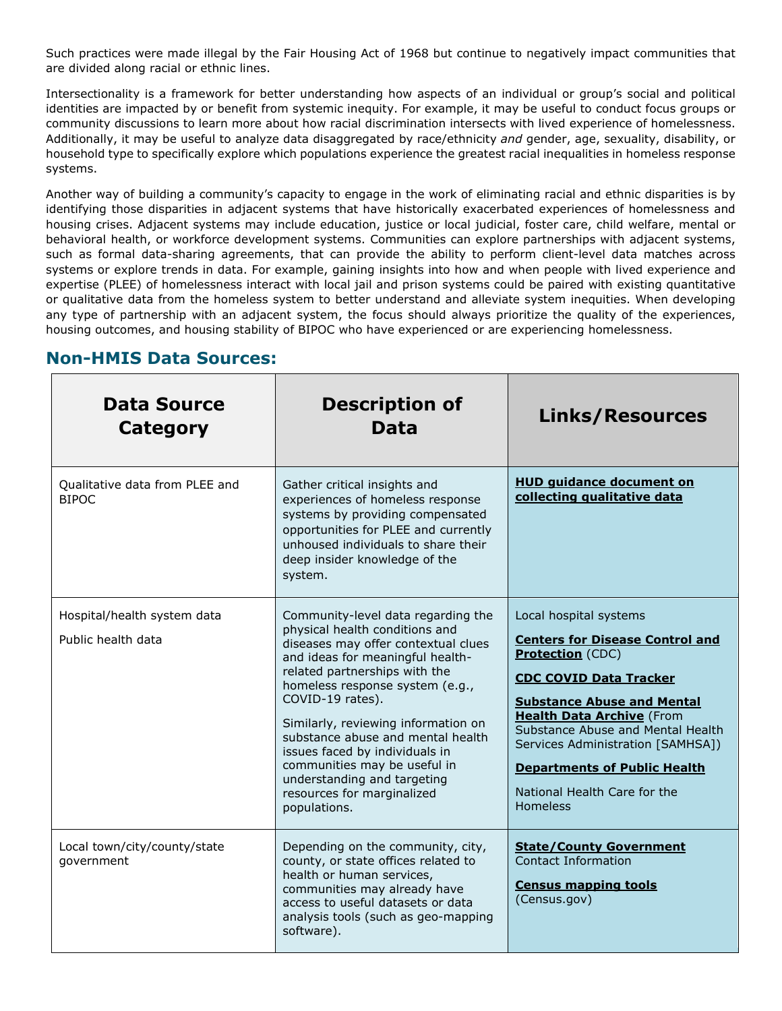Such practices were made illegal by the Fair Housing Act of 1968 but continue to negatively impact communities that are divided along racial or ethnic lines.

Intersectionality is a framework for better understanding how aspects of an individual or group's social and political identities are impacted by or benefit from systemic inequity. For example, it may be useful to conduct focus groups or community discussions to learn more about how racial discrimination intersects with lived experience of homelessness. Additionally, it may be useful to analyze data disaggregated by race/ethnicity *and* gender, age, sexuality, disability, or household type to specifically explore which populations experience the greatest racial inequalities in homeless response systems.

Another way of building a community's capacity to engage in the work of eliminating racial and ethnic disparities is by identifying those disparities in adjacent systems that have historically exacerbated experiences of homelessness and housing crises. Adjacent systems may include education, justice or local judicial, foster care, child welfare, mental or behavioral health, or workforce development systems. Communities can explore partnerships with adjacent systems, such as formal data-sharing agreements, that can provide the ability to perform client-level data matches across systems or explore trends in data. For example, gaining insights into how and when people with lived experience and expertise (PLEE) of homelessness interact with local jail and prison systems could be paired with existing quantitative or qualitative data from the homeless system to better understand and alleviate system inequities. When developing any type of partnership with an adjacent system, the focus should always prioritize the quality of the experiences, housing outcomes, and housing stability of BIPOC who have experienced or are experiencing homelessness.

| Data Source<br>Category                           | <b>Description of</b><br>Data                                                                                                                                                                                                                                                                                                                                                                                                                                      | <b>Links/Resources</b>                                                                                                                                                                                                                                                                                                                                                    |
|---------------------------------------------------|--------------------------------------------------------------------------------------------------------------------------------------------------------------------------------------------------------------------------------------------------------------------------------------------------------------------------------------------------------------------------------------------------------------------------------------------------------------------|---------------------------------------------------------------------------------------------------------------------------------------------------------------------------------------------------------------------------------------------------------------------------------------------------------------------------------------------------------------------------|
| Qualitative data from PLEE and<br><b>BIPOC</b>    | Gather critical insights and<br>experiences of homeless response<br>systems by providing compensated<br>opportunities for PLEE and currently<br>unhoused individuals to share their<br>deep insider knowledge of the<br>system.                                                                                                                                                                                                                                    | <b>HUD quidance document on</b><br>collecting qualitative data                                                                                                                                                                                                                                                                                                            |
| Hospital/health system data<br>Public health data | Community-level data regarding the<br>physical health conditions and<br>diseases may offer contextual clues<br>and ideas for meaningful health-<br>related partnerships with the<br>homeless response system (e.g.,<br>COVID-19 rates).<br>Similarly, reviewing information on<br>substance abuse and mental health<br>issues faced by individuals in<br>communities may be useful in<br>understanding and targeting<br>resources for marginalized<br>populations. | Local hospital systems<br><b>Centers for Disease Control and</b><br><b>Protection</b> (CDC)<br><b>CDC COVID Data Tracker</b><br><b>Substance Abuse and Mental</b><br><b>Health Data Archive (From</b><br>Substance Abuse and Mental Health<br>Services Administration [SAMHSA])<br><b>Departments of Public Health</b><br>National Health Care for the<br><b>Homeless</b> |
| Local town/city/county/state<br>government        | Depending on the community, city,<br>county, or state offices related to<br>health or human services,<br>communities may already have<br>access to useful datasets or data<br>analysis tools (such as geo-mapping<br>software).                                                                                                                                                                                                                                    | <b>State/County Government</b><br><b>Contact Information</b><br><b>Census mapping tools</b><br>(Census.gov)                                                                                                                                                                                                                                                               |

## **Non-HMIS Data Sources:**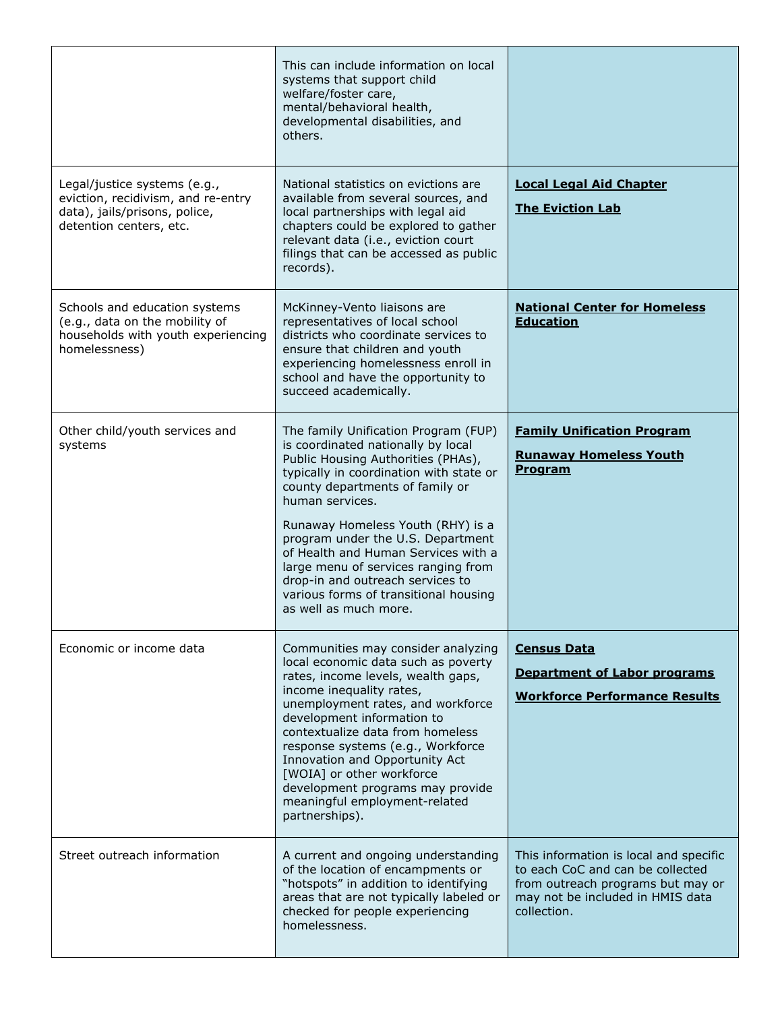|                                                                                                                                | This can include information on local<br>systems that support child<br>welfare/foster care,<br>mental/behavioral health,<br>developmental disabilities, and<br>others.                                                                                                                                                                                                                                                                                                          |                                                                                                                                                                    |
|--------------------------------------------------------------------------------------------------------------------------------|---------------------------------------------------------------------------------------------------------------------------------------------------------------------------------------------------------------------------------------------------------------------------------------------------------------------------------------------------------------------------------------------------------------------------------------------------------------------------------|--------------------------------------------------------------------------------------------------------------------------------------------------------------------|
| Legal/justice systems (e.g.,<br>eviction, recidivism, and re-entry<br>data), jails/prisons, police,<br>detention centers, etc. | National statistics on evictions are<br>available from several sources, and<br>local partnerships with legal aid<br>chapters could be explored to gather<br>relevant data (i.e., eviction court<br>filings that can be accessed as public<br>records).                                                                                                                                                                                                                          | <b>Local Legal Aid Chapter</b><br><b>The Eviction Lab</b>                                                                                                          |
| Schools and education systems<br>(e.g., data on the mobility of<br>households with youth experiencing<br>homelessness)         | McKinney-Vento liaisons are<br>representatives of local school<br>districts who coordinate services to<br>ensure that children and youth<br>experiencing homelessness enroll in<br>school and have the opportunity to<br>succeed academically.                                                                                                                                                                                                                                  | <b>National Center for Homeless</b><br><b>Education</b>                                                                                                            |
| Other child/youth services and<br>systems                                                                                      | The family Unification Program (FUP)<br>is coordinated nationally by local<br>Public Housing Authorities (PHAs),<br>typically in coordination with state or<br>county departments of family or<br>human services.<br>Runaway Homeless Youth (RHY) is a<br>program under the U.S. Department<br>of Health and Human Services with a<br>large menu of services ranging from<br>drop-in and outreach services to<br>various forms of transitional housing<br>as well as much more. | <b>Family Unification Program</b><br><b>Runaway Homeless Youth</b><br><b>Program</b>                                                                               |
| Economic or income data                                                                                                        | Communities may consider analyzing<br>local economic data such as poverty<br>rates, income levels, wealth gaps,<br>income inequality rates,<br>unemployment rates, and workforce<br>development information to<br>contextualize data from homeless<br>response systems (e.g., Workforce<br>Innovation and Opportunity Act<br>[WOIA] or other workforce<br>development programs may provide<br>meaningful employment-related<br>partnerships).                                   | <b>Census Data</b><br><b>Department of Labor programs</b><br><b>Workforce Performance Results</b>                                                                  |
| Street outreach information                                                                                                    | A current and ongoing understanding<br>of the location of encampments or<br>"hotspots" in addition to identifying<br>areas that are not typically labeled or<br>checked for people experiencing<br>homelessness.                                                                                                                                                                                                                                                                | This information is local and specific<br>to each CoC and can be collected<br>from outreach programs but may or<br>may not be included in HMIS data<br>collection. |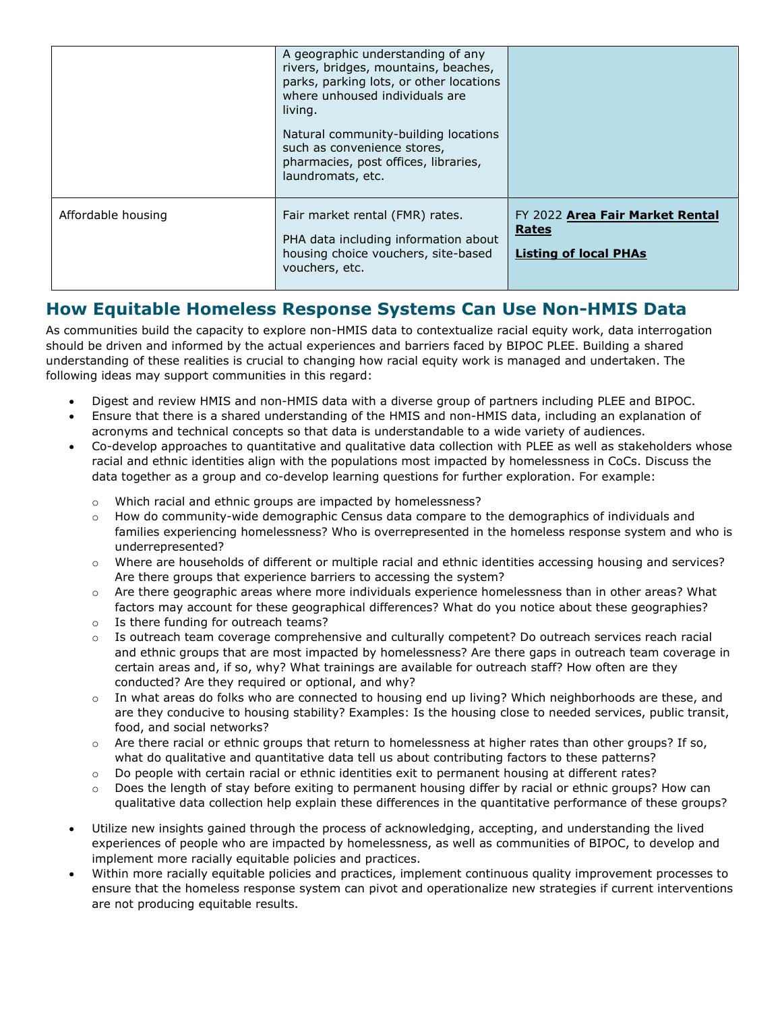|                    | A geographic understanding of any<br>rivers, bridges, mountains, beaches,<br>parks, parking lots, or other locations<br>where unhoused individuals are<br>living.<br>Natural community-building locations<br>such as convenience stores,<br>pharmacies, post offices, libraries,<br>laundromats, etc. |                                                                          |
|--------------------|-------------------------------------------------------------------------------------------------------------------------------------------------------------------------------------------------------------------------------------------------------------------------------------------------------|--------------------------------------------------------------------------|
| Affordable housing | Fair market rental (FMR) rates.<br>PHA data including information about<br>housing choice vouchers, site-based<br>vouchers, etc.                                                                                                                                                                      | FY 2022 Area Fair Market Rental<br>Rates<br><b>Listing of local PHAs</b> |

# **How Equitable Homeless Response Systems Can Use Non-HMIS Data**

As communities build the capacity to explore non-HMIS data to contextualize racial equity work, data interrogation should be driven and informed by the actual experiences and barriers faced by BIPOC PLEE. Building a shared understanding of these realities is crucial to changing how racial equity work is managed and undertaken. The following ideas may support communities in this regard:

- Digest and review HMIS and non-HMIS data with a diverse group of partners including PLEE and BIPOC.
- Ensure that there is a shared understanding of the HMIS and non-HMIS data, including an explanation of acronyms and technical concepts so that data is understandable to a wide variety of audiences.
- Co-develop approaches to quantitative and qualitative data collection with PLEE as well as stakeholders whose racial and ethnic identities align with the populations most impacted by homelessness in CoCs. Discuss the data together as a group and co-develop learning questions for further exploration. For example:
	- Which racial and ethnic groups are impacted by homelessness?
	- o How do community-wide demographic Census data compare to the demographics of individuals and families experiencing homelessness? Who is overrepresented in the homeless response system and who is underrepresented?
	- Where are households of different or multiple racial and ethnic identities accessing housing and services? Are there groups that experience barriers to accessing the system?
	- o Are there geographic areas where more individuals experience homelessness than in other areas? What factors may account for these geographical differences? What do you notice about these geographies?
	- o Is there funding for outreach teams?
	- o Is outreach team coverage comprehensive and culturally competent? Do outreach services reach racial and ethnic groups that are most impacted by homelessness? Are there gaps in outreach team coverage in certain areas and, if so, why? What trainings are available for outreach staff? How often are they conducted? Are they required or optional, and why?
	- o In what areas do folks who are connected to housing end up living? Which neighborhoods are these, and are they conducive to housing stability? Examples: Is the housing close to needed services, public transit, food, and social networks?
	- $\circ$  Are there racial or ethnic groups that return to homelessness at higher rates than other groups? If so, what do qualitative and quantitative data tell us about contributing factors to these patterns?
	- o Do people with certain racial or ethnic identities exit to permanent housing at different rates?
	- Does the length of stay before exiting to permanent housing differ by racial or ethnic groups? How can qualitative data collection help explain these differences in the quantitative performance of these groups?
- Utilize new insights gained through the process of acknowledging, accepting, and understanding the lived experiences of people who are impacted by homelessness, as well as communities of BIPOC, to develop and implement more racially equitable policies and practices.
- Within more racially equitable policies and practices, implement continuous quality improvement processes to ensure that the homeless response system can pivot and operationalize new strategies if current interventions are not producing equitable results.